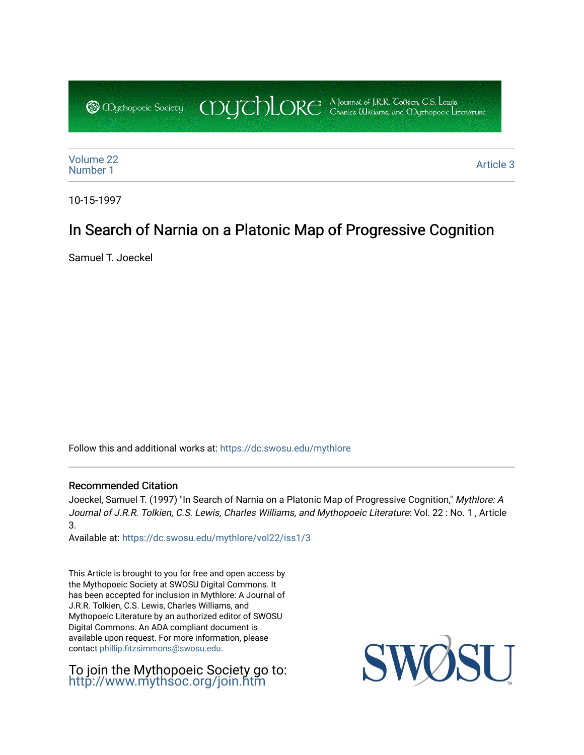COUCHORE A Journal of J.R.R. Colkien, C.S. Leuris, **@** Obychopoeic Sociecy

[Volume 22](https://dc.swosu.edu/mythlore/vol22) [Number 1](https://dc.swosu.edu/mythlore/vol22/iss1) Article 3<br>Number 1 Article 3

10-15-1997

# In Search of Narnia on a Platonic Map of Progressive Cognition

Samuel T. Joeckel

Follow this and additional works at: [https://dc.swosu.edu/mythlore](https://dc.swosu.edu/mythlore?utm_source=dc.swosu.edu%2Fmythlore%2Fvol22%2Fiss1%2F3&utm_medium=PDF&utm_campaign=PDFCoverPages) 

### Recommended Citation

Joeckel, Samuel T. (1997) "In Search of Narnia on a Platonic Map of Progressive Cognition," Mythlore: A Journal of J.R.R. Tolkien, C.S. Lewis, Charles Williams, and Mythopoeic Literature: Vol. 22 : No. 1 , Article 3.

Available at: [https://dc.swosu.edu/mythlore/vol22/iss1/3](https://dc.swosu.edu/mythlore/vol22/iss1/3?utm_source=dc.swosu.edu%2Fmythlore%2Fvol22%2Fiss1%2F3&utm_medium=PDF&utm_campaign=PDFCoverPages) 

This Article is brought to you for free and open access by the Mythopoeic Society at SWOSU Digital Commons. It has been accepted for inclusion in Mythlore: A Journal of J.R.R. Tolkien, C.S. Lewis, Charles Williams, and Mythopoeic Literature by an authorized editor of SWOSU Digital Commons. An ADA compliant document is available upon request. For more information, please contact [phillip.fitzsimmons@swosu.edu.](mailto:phillip.fitzsimmons@swosu.edu)

To join the Mythopoeic Society go to: <http://www.mythsoc.org/join.htm>

SWO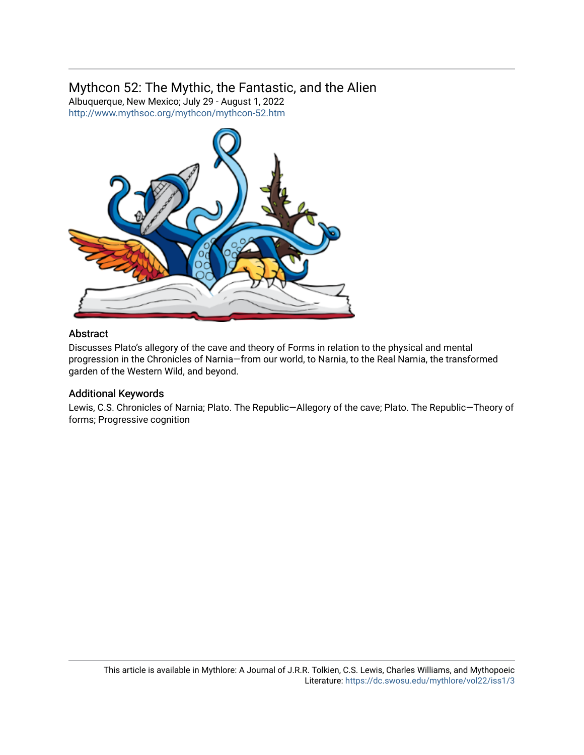## Mythcon 52: The Mythic, the Fantastic, and the Alien

Albuquerque, New Mexico; July 29 - August 1, 2022 <http://www.mythsoc.org/mythcon/mythcon-52.htm>



#### Abstract

Discusses Plato's allegory of the cave and theory of Forms in relation to the physical and mental progression in the Chronicles of Narnia—from our world, to Narnia, to the Real Narnia, the transformed garden of the Western Wild, and beyond.

#### Additional Keywords

Lewis, C.S. Chronicles of Narnia; Plato. The Republic—Allegory of the cave; Plato. The Republic—Theory of forms; Progressive cognition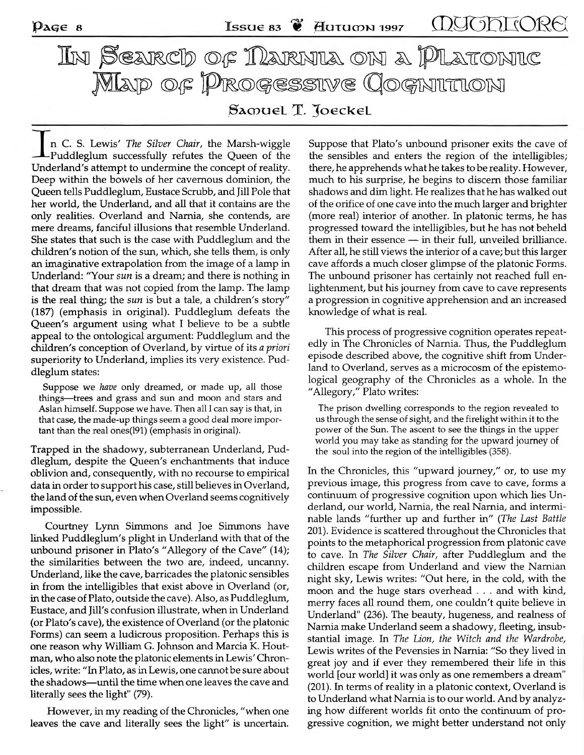In Searcd of Narnia on a Platonic **M a p o f P r o g r e s s i v e C o g n i t i o n** Samuel T. Joeckel

n C. S. Lewis' *The Silver Chair*, the Marsh-wiggle -Puddleglum successfully refutes the Queen of the Underland's attempt to undermine the concept of reality. Deep within the bowels of her cavernous dominion, the Queen tells Puddleglum, Eustace Scrubb, and Jill Pole that her world, the Underland, and all that it contains are the only realities. Overland and Narnia, she contends, are mere dreams, fanciful illusions that resemble Underland. She states that such is the case with Puddleglum and the children's notion of the sun, which, she tells them, is only an imaginative extrapolation from the image of a lamp in Underland: "Your *sun* is a dream; and there is nothing in that dream that was not copied from the lamp. The lamp is the real thing; the *sun* is but a tale, a children's story" (187) (emphasis in original). Puddleglum defeats the Queen's argument using what I believe to be a subtle appeal to the ontological argument: Puddleglum and the children's conception of Overland, by virtue of its *a priori* superiority to Underland, implies its very existence. Puddleglum states:

Suppose we *have* only dreamed, or made up, all those **things—trees and grass and sun and moon and stars and** Aslan himself. Suppose we have. Then all I can say is that, in **that case, the made-up things seem a good deal more important than the real ones(191) (emphasis in original).**

Trapped in the shadowy, subterranean Underland, Puddleglum, despite the Queen's enchantments that induce oblivion and, consequently, with no recourse to empirical data in order to support his case, still believes in Overland, the land of the sun, even when Overland seems cognitively impossible.

Courtney Lynn Simmons and Joe Simmons have linked Puddleglum's plight in Underland with that of the unbound prisoner in Plato's "Allegory of the Cave" (14); the similarities between the two are, indeed, uncanny. Underland, like the cave, barricades the platonic sensibles in from the intelligibles that exist above in Overland (or, in the case of Plato, outside the cave). Also, as Puddleglum, Eustace, and Jill's confusion illustrate, when in Underland (or Plato's cave), the existence of Overland (or the platonic Forms) can seem a ludicrous proposition. Perhaps this is one reason why William G. Johnson and Marcia K. Houtman, who also note the platonic elements in Lewis' Chronicles, write: "In Plato, as in Lewis, one cannot be sure about the shadows—until the time when one leaves the cave and literally sees the light" (79).

However, in my reading of the Chronicles, "when one leaves the cave and literally sees the light" is uncertain. Suppose that Plato's unbound prisoner exits the cave of the sensibles and enters the region of the intelligibles; there, he apprehends what he takes to be reality. However, much to his surprise, he begins to discern those familiar shadows and dim light. He realizes that he has walked out of the orifice of one cave into the much larger and brighter (more real) interior of another. In platonic terms, he has progressed toward the intelligibles, but he has not beheld them in their essence — in their full, unveiled brilliance. After all, he still views the interior of a cave; but this larger cave affords a much closer glimpse of the platonic Forms. The unbound prisoner has certainly not reached full enlightenment, but his journey from cave to cave represents a progression in cognitive apprehension and an increased know ledge of w hat is real.

This process of progressive cognition operates repeatedly in The Chronicles of Narnia. Thus, the Puddleglum episode described above, the cognitive shift from Underland to Overland, serves as a microcosm of the epistemological geography of the Chronicles as a whole. In the "Allegory," Plato writes:

**The prison dwelling corresponds to the region revealed to us through the sense of sight, and the firelight within it to the power of the Sun. The ascent to see the things in the upper world you may take as standing for the upward journey of the soul into the region of the intelligibles (358).**

In the Chronicles, this "upward journey," or, to use my previous image, this progress from cave to cave, forms a continuum of progressive cognition upon which lies Underland, our world, Narnia, the real Narnia, and interminable lands "further up and further in" (*The Last Battle* 201). Evidence is scattered throughout the Chronicles that points to the metaphorical progression from platonic cave to cave. In *The Silver Chair,* after Puddleglum and the children escape from Underland and view the Narnian night sky, Lewis writes: "Out here, in the cold, with the moon and the huge stars overhead . . . and with kind, merry faces all round them, one couldn't quite believe in Underland" (236). The beauty, hugeness, and realness of Narnia make Underland seem a shadowy, fleeting, insubstantial image. In *The Lion, the Witch and the Wardrobe,* Lewis writes of the Pevensies in Narnia: "So they lived in great joy and if ever they remembered their life in this world [our world] it was only as one remembers a dream" (201). In terms of reality in a platonic context, Overland is to Underland what Narnia is to our world. And by analyzing how different worlds fit onto the continuum of progressive cognition, we might better understand not only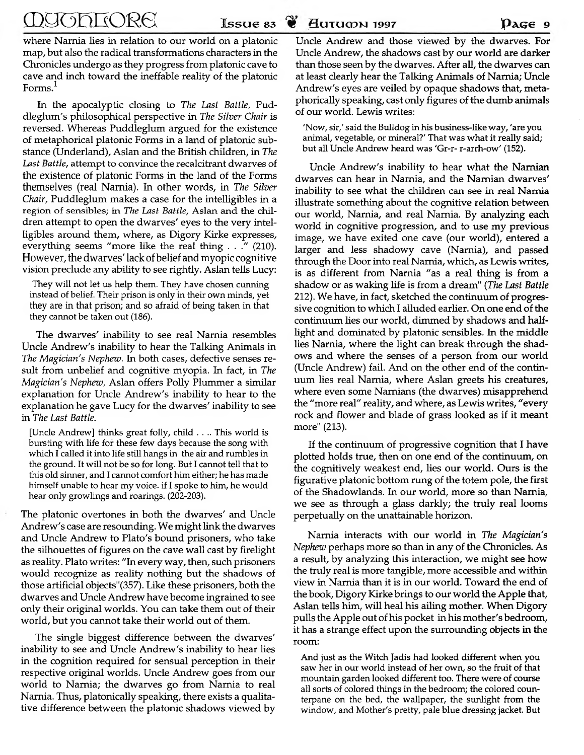where Narnia lies in relation to our world on a platonic map, but also the radical transformations characters in the Chronicles undergo as they progress from platonic cave to cave and inch tow ard the ineffable reality of the platonic Forms.<sup>1</sup>

In the apocalyptic closing to *The Last Battle,* Puddleglum 's philosophical perspective in *The Silver Chair* is reversed. Whereas Puddleglum argued for the existence of metaphorical platonic Forms in a land of platonic substance (Underland), Aslan and the British children, in *The* Last Battle, attempt to convince the recalcitrant dwarves of the **existence** of platonic Forms in the land of the Forms **themselves** (real Narnia). **In** other words, in *The Silver Chair*, Puddleglum makes a case for the intelligibles in a region of sensibles; in *The Last Battle*, Aslan and the children attempt to open the dwarves' eyes to the very intelligibles around them, where, as Digory Kirke expresses, everything seems "more like the real thing . . ." (210). **However, the dwarves' lack** of belief **and** m yopic cognitive vision preclude any ability to see rightly. Aslan tells Lucy:

**They will not let us help them. They have chosen cunning instead of belief. Their prison is only in their own minds, yet they are in that prison; and so afraid of being taken in that they cannot be taken out (186).**

The dwarves' inability to see real Narnia resembles Uncle Andrew's inability to hear the Talking Animals in *The Magician's Nephew.* In both cases, defective senses result from unbelief and cognitive myopia. In fact, in *The Magician's Nephew, Aslan offers Polly Plummer a similar* explanation for Uncle Andrew's inability to hear to the explanation he gave Lucy for the dwarves' inability to see in *The Last Battle.*

**[Uncle Andrew] thinks great folly, child . . .. This world is bursting with life for these few days because the song with which I called it into life still hangs in the air and rumbles in the ground. It will not be so for long. But I cannot tell that to this old sinner, and I cannot comfort him either; he has made himself unable to hear my voice, if I spoke to him, he would hear only growlings and roarings. (202-203).**

The platonic overtones in both the dwarves' and Uncle Andrew's case are resounding. We might link the dwarves and Uncle Andrew to Plato's bound prisoners, who take the silhouettes of figures on the cave wall cast by firelight as reality. Plato writes: "In every way, then, such prisoners would recognize as reality nothing but the shadows of those artificial objects"(357). Like these prisoners, both the dwarves and Uncle Andrew have become ingrained to see only their original worlds. You can take them out of their world, but you cannot take their world out of them.

The single biggest difference between the dwarves' inability to see and Uncle Andrew's inability to hear lies in the cognition required for sensual perception in their respective original worlds. Uncle Andrew goes from our world to Narnia; the dwarves go from Narnia to real Narnia. Thus, platonically speaking, there exists a qualitative difference between the platonic shadows viewed by

Uncle Andrew and those viewed by the dwarves. For Uncle Andrew, the shadows cast by our world are darker than those seen by the dwarves. After all, the dwarves can at least clearly hear the Talking Animals of Narnia; Uncle Andrew's eyes are veiled by opaque shadows that, metaphorically speaking, cast only figures of the dumb animals of our world. Lewis writes:

**'Now, sir,' said the Bulldog in his business-like way, 'are you animal, vegetable, or mineral?' That w as what it really said; but all Uncle Andrew heard was 'Gr-r- r-arrh-ow' (152).**

Uncle Andrew's inability to hear what the Narnian dwarves can hear in Narnia, and the Narnian dwarves' inability to see what the children can see in real Narnia illustrate something about the cognitive relation between our world, Narnia, and real Narnia. By analyzing each world in cognitive progression, and to use my previous image, we have exited one cave (our world), entered a larger and less shadowy cave (Narnia), and passed through the Door into real Narnia, which, as Lewis writes, is as different from Narnia "as a real thing is from a shadow or as w aking life is from a dream" (*The Last Battle* 212). We have, in fact, sketched the continuum of progressive cognition to which I alluded earlier. On one end of the continuum lies our world, dimmed by shadows and halflight and dominated by platonic sensibles. In the middle lies Narnia, where the light can break through the shadows and where the senses of a person from our world (Uncle Andrew) fail. And on the other end of the continuum lies real Narnia, where Aslan greets his creatures, where even some Narnians (the dwarves) misapprehend the "m ore real" reality, and where, as Lewis writes, "every rock and flower and blade of grass looked as if it meant more" (213).

If the continuum of progressive cognition that I have plotted holds true, then on one end of the continuum, on the cognitively weakest end, lies our world. Ours is the figurative platonic bottom rung of the totem pole, the first of the Shadowlands. In our world, more so than Narnia, we see as through a glass darkly; the truly real looms perpetually on the unattainable horizon.

Narnia interacts with our world in *The Magician's Nephew* perhaps more so than in any of the Chronicles. As a result, by analyzing this interaction, we might see how the truly real is more tangible, more accessible and within view in Narnia than it is in our world. Toward the end of the book, Digory Kirke brings to our world the Apple that, Aslan tells him, will heal his ailing mother. When Digory pulls the Apple out of his pocket in his mother's bedroom, it has a strange effect upon the surrounding objects in the room:

**And just as the Witch Jadis had looked different when you saw her in our world instead of her own, so the fruit of that mountain garden looked different too. There were of course all sorts of colored things in the bedroom; the colored counterpane on the bed, the wallpaper, the sunlight from the window, and Mother's pretty, pale blue dressing jacket. But**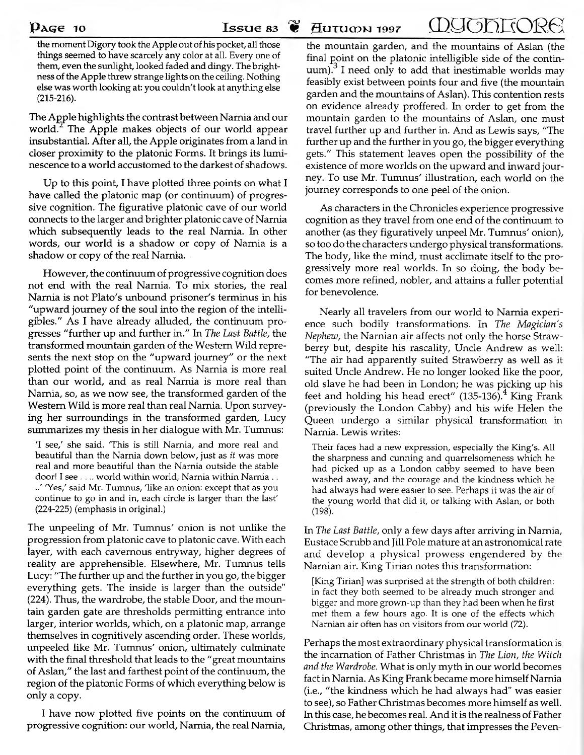$\mathbf{p_{age}}$  10 **Issue 83**  $\mathbf{\mathbf{\mathscr{C}}}$  Hutumn 1997  $\Box$ 

**the moment Digory took the Apple out of his pocket, all those things seem ed to have scarcely any color at all. Every one of them, even the sunlight, looked faded and dingy. The brightness of the Apple threw strange lights on the ceiling. Nothing else w as worth looking at: you couldn't look at anything else** (215-216).

The Apple highlights the contrast between Narnia and our world.<sup>2</sup> The Apple makes objects of our world appear insubstantial. After all, the Apple originates from a land in closer proximity to the platonic Forms. It brings its luminescence to a world accustomed to the darkest of shadows.

Up to this point, I have plotted three points on what I have called the platonic map (or continuum) of progressive cognition. The figurative platonic cave of our world connects to the larger and brighter platonic cave of Narnia which subsequently leads to the real Narnia. In other words, our world is a shadow or copy of Narnia is a shadow or copy of the real Narnia.

However, the continuum of progressive cognition does not end with the real Narnia. To mix stories, the real Narnia is not Plato's unbound prisoner's terminus in his "upward journey of the soul into the region of the intelligibles." As I have already alluded, the continuum progresses "further up and further in." In *The Last Battle*, the transformed mountain garden of the Western Wild represents the next stop on the "upward journey" or the next plotted point of the continuum. As Narnia is more real than our world, and as real Narnia is more real than Narnia, so, as we now see, the transformed garden of the Western Wild is more real than real Narnia. Upon surveying her surroundings in the transformed garden, Lucy sum marizes my thesis in her dialogue with Mr. Tumnus:

**'I see,' she said. 'This is still Narnia, and more real and beautiful than the Narnia down below, just as** *it* **was more real and more beautiful than the Narnia outside the stable door! I see . ... world within world, Narnia within Narnia .. ..' 'Yes,' said Mr. Tumnus, 'like an onion: except that as you continue to go in and in, each circle is larger than the last' (224-225) (emphasis in original.)**

The unpeeling of Mr. Tumnus' onion is not unlike the progression from platonic cave to platonic cave. With each layer, with each cavernous entryway, higher degrees of reality are apprehensible. Elsewhere, Mr. Tumnus tells Lucy: "The further up and the further in you go, the bigger everything gets. The inside is larger than the outside" (224). Thus, the wardrobe, the stable Door, and the mountain garden gate are thresholds permitting entrance into larger, interior worlds, which, on a platonic map, arrange them selves in cognitively ascending order. These worlds, unpeeled like Mr. Tumnus' onion, ultimately culminate with the final threshold that leads to the "great mountains" of Aslan," the last and farthest point of the continuum, the region of the platonic Forms of which everything below is only a copy.

I have now plotted five points on the continuum of progressive cognition: our w orld, Narnia, the real Narnia,

the mountain garden, and the mountains of Aslan (the final point on the platonic intelligible side of the continuum).<sup>3</sup> I need only to add that inestimable worlds may feasibly exist between points four and five (the mountain garden and the mountains of Aslan). This contention rests on evidence already proffered. In order to get from the mountain garden to the mountains of Aslan, one must travel further up and further in. And as Lewis says, "The further up and the further in you go, the bigger everything gets." This statement leaves open the possibility of the existence of more worlds on the upward and inward journey. To use Mr. Tumnus' illustration, each world on the journey corresponds to one peel of the onion.

As characters in the Chronicles experience progressive cognition as they travel from one end of the continuum to another (as they figuratively unpeel Mr. Tumnus' onion), so too do the characters undergo physical transformations. The body, like the mind, must acclimate itself to the progressively m ore real w orlds. In so doing, the body becomes more refined, nobler, and attains a fuller potential for benevolence.

Nearly all travelers from our world to Narnia experience such bodily transform ations. In *The Magician's Nephew*, the Narnian air affects not only the horse Strawberry but, despite his rascality, Uncle Andrew as well: "The air had apparently suited Straw berry as well as it suited Uncle Andrew. He no longer looked like the poor, old slave he had been in London; he was picking up his feet and holding his head erect"  $(135-136)^4$  King Frank (previously the London Cabby) and his wife Helen the Queen undergo a similar physical transformation in Narnia. Lewis writes:

**Their faces had a new expression, especially the King's. All the sharpness and cunning and quarrelsomeness which he had picked up as a London cabby seemed to have been washed away, and the courage and the kindness which he** had always had were easier to see. Perhaps it was the air of **the young world that did it, or talking with Aslan, or both (198).**

In *The Last Battle,* only a few days after arriving in Narnia, Eustace Scrubb and Jill Pole mature at an astronomical rate and develop a physical prowess engendered by the Narnian air. King Tirian notes this transformation:

**[King Tirian] was surprised at the strength of both children:** in fact they both seemed to be already much stronger and **bigger and more grown-up than they had been w hen he first met them a few hours ago. It is one of the effects which Narnian air often has on visitors from our world (72).**

Perhaps the most extraordinary physical transformation is the incarnation of Father Christm as in *The Lion, the Witch* and the Wardrobe. What is only myth in our world becomes fact in Narnia. As King Frank became more himself Narnia (i.e., "the kindness which he had always had" was easier to see), so Father Christmas becomes more himself as well. In this case, he becomes real. And it is the realness of Father Christmas, among other things, that impresses the Peven